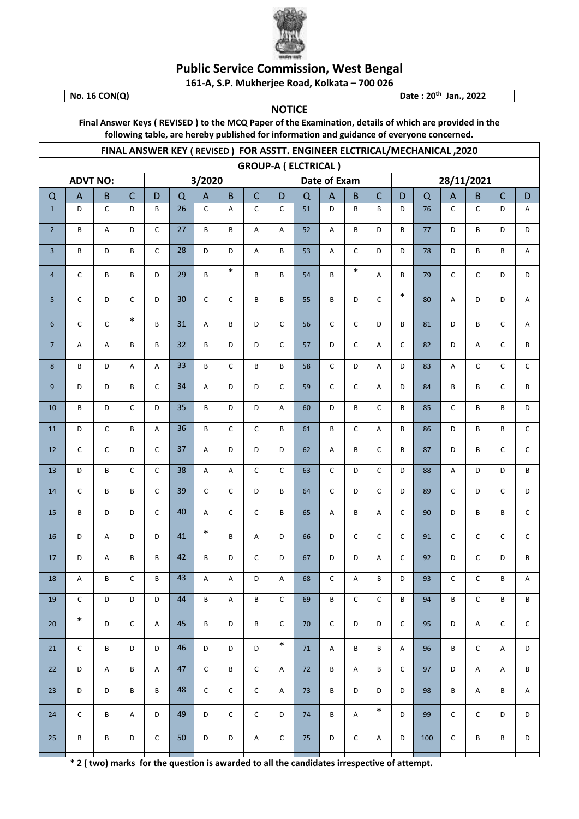

## **Public Service Commission, West Bengal**

161-A, S.P. Mukherjee Road, Kolkata - 700 026 Date: 20<sup>th</sup> Jan., 2022

No. 16 CON(Q)

## **NOTICE**

Final Answer Keys (REVISED) to the MCQ Paper of the Examination, details of which are provided in the following table, are hereby published for information and guidance of everyone concerned.

| FINAL ANSWER KEY (REVISED) FOR ASSTT. ENGINEER ELCTRICAL/MECHANICAL, 2020 |                |              |              |                           |    |                           |                           |                           |                           |          |                |                           |                           |             |     |              |                           |              |              |  |
|---------------------------------------------------------------------------|----------------|--------------|--------------|---------------------------|----|---------------------------|---------------------------|---------------------------|---------------------------|----------|----------------|---------------------------|---------------------------|-------------|-----|--------------|---------------------------|--------------|--------------|--|
| <b>GROUP-A (ELCTRICAL)</b>                                                |                |              |              |                           |    |                           |                           |                           |                           |          |                |                           |                           |             |     |              |                           |              |              |  |
| <b>ADVT NO:</b>                                                           |                |              |              | 3/2020                    |    |                           |                           |                           |                           |          | Date of Exam   |                           |                           | 28/11/2021  |     |              |                           |              |              |  |
| $\Omega$                                                                  | $\overline{A}$ | B            | $\mathsf{C}$ | D                         | Q  | $\boldsymbol{\mathsf{A}}$ | $\overline{B}$            | $\mathsf C$               | D                         | $\Omega$ | $\overline{A}$ | B                         | $\mathsf{C}$              | D           | Q   | $\mathsf{A}$ | B                         | $\mathsf{C}$ | D            |  |
| $\mathbf{1}$                                                              | D              | $\mathsf C$  | D            | B                         | 26 | C                         | Α                         | C                         | $\mathsf{C}$              | 51       | D              | B                         | B                         | D           | 76  | C            | C                         | D            | Α            |  |
| $\overline{2}$                                                            | B              | Α            | D            | $\mathsf{C}$              | 27 | B                         | B                         | Α                         | A                         | 52       | A              | B                         | D                         | B           | 77  | D            | B                         | D            | D            |  |
| 3                                                                         | B              | D            | B            | $\mathsf{C}$              | 28 | D                         | D                         | A                         | B                         | 53       | A              | $\mathsf{C}$              | D                         | D           | 78  | D            | B                         | B            | Α            |  |
| 4                                                                         | C              | B            | B            | D                         | 29 | B                         | $\ast$                    | B                         | B                         | 54       | B              | $\ast$                    | Α                         | B           | 79  | $\mathsf C$  | $\mathsf{C}$              | D            | D            |  |
| 5                                                                         | C              | D            | C            | D                         | 30 | $\mathsf C$               | $\mathsf{C}$              | B                         | B                         | 55       | B              | D                         | $\mathsf C$               | $\ast$      | 80  | Α            | D                         | D            | Α            |  |
| 6                                                                         | C              | $\mathsf C$  | $\ast$       | B                         | 31 | Α                         | B                         | D                         | C                         | 56       | $\mathsf{C}$   | $\mathsf{C}$              | D                         | B           | 81  | D            | B                         | C            | Α            |  |
| $\overline{7}$                                                            | А              | Α            | B            | B                         | 32 | B                         | D                         | D                         | $\mathsf C$               | 57       | D              | $\mathsf{C}$              | $\boldsymbol{\mathsf{A}}$ | $\mathsf C$ | 82  | D            | Α                         | C            | B            |  |
| 8                                                                         | B              | D            | А            | A                         | 33 | B                         | C                         | B                         | B                         | 58       | $\mathsf C$    | D                         | Α                         | D           | 83  | Α            | C                         | C            | $\mathsf{C}$ |  |
| 9                                                                         | D              | D            | B            | $\mathsf{C}$              | 34 | А                         | D                         | D                         | $\mathsf C$               | 59       | $\mathsf C$    | $\mathsf{C}$              | Α                         | D           | 84  | B            | B                         | C            | B            |  |
| 10                                                                        | B              | D            | $\mathsf C$  | D                         | 35 | B                         | D                         | D                         | А                         | 60       | D              | B                         | $\mathsf C$               | B           | 85  | $\mathsf C$  | B                         | B            | D            |  |
| 11                                                                        | D              | $\mathsf{C}$ | B            | A                         | 36 | B                         | C                         | $\mathsf C$               | B                         | 61       | B              | $\mathsf{C}$              | A                         | B           | 86  | D            | B                         | B            | $\mathsf C$  |  |
| 12                                                                        | C              | $\mathsf C$  | D            | $\mathsf{C}$              | 37 | Α                         | D                         | D                         | D                         | 62       | A              | B                         | $\mathsf{C}$              | B           | 87  | D            | B                         | $\mathsf{C}$ | $\mathsf{C}$ |  |
| 13                                                                        | D              | B            | C            | $\mathsf{C}$              | 38 | A                         | Α                         | $\mathsf C$               | C                         | 63       | $\mathsf{C}$   | D                         | $\mathsf{C}$              | D           | 88  | Α            | D                         | D            | В            |  |
| 14                                                                        | C              | B            | B            | $\mathsf{C}$              | 39 | $\mathsf C$               | C                         | D                         | B                         | 64       | $\mathsf C$    | D                         | $\mathsf{C}$              | D           | 89  | $\mathsf{C}$ | D                         | C            | D            |  |
| 15                                                                        | B              | D            | D            | $\mathsf{C}$              | 40 | A                         | C                         | $\mathsf C$               | B                         | 65       | Α              | B                         | A                         | $\mathsf C$ | 90  | D            | B                         | B            | $\mathsf C$  |  |
| 16                                                                        | D              | Α            | D            | D                         | 41 | $\ast$                    | В                         | A                         | D                         | 66       | D              | $\mathsf{C}$              | $\mathsf C$               | $\mathsf C$ | 91  | $\mathsf{C}$ | $\mathsf{C}$              | C            | $\mathsf{C}$ |  |
| 17                                                                        | D              | Α            | B            | B                         | 42 | B                         | D                         | $\mathsf C$               | D                         | 67       | D              | D                         | Α                         | $\mathsf C$ | 92  | D            | $\mathsf{C}$              | D            | B            |  |
| 18                                                                        | А              | B            | $\mathsf C$  | В                         | 43 | A                         | $\mathsf A$               | $\mathsf D$               | Α                         | 68       | $\mathsf C$    | Α                         | $\sf{B}$                  | D           | 93  | $\mathsf C$  | $\mathsf C$               | В            | $\mathsf A$  |  |
| 19                                                                        | $\mathsf C$    | D            | D            | D                         | 44 | В                         | $\boldsymbol{\mathsf{A}}$ | $\, {\bf B}$              | $\mathsf C$               | 69       | В              | $\mathsf C$               | $\mathsf C$               | B           | 94  | В            | $\mathsf C$               | В            | В            |  |
| 20                                                                        | $\ast$         | D            | $\mathsf{C}$ | A                         | 45 | B                         | D                         | $\, {\bf B}$              | $\mathsf C$               | 70       | $\mathsf C$    | D                         | $\mathsf D$               | $\mathsf C$ | 95  | D            | $\boldsymbol{\mathsf{A}}$ | $\mathsf C$  | $\mathsf C$  |  |
| 21                                                                        | C              | B            | D            | D                         | 46 | D                         | D                         | D                         | $\ast$                    | 71       | A              | В                         | В                         | A           | 96  | B            | C                         | Α            | D            |  |
| 22                                                                        | D              | Α            | В            | $\boldsymbol{\mathsf{A}}$ | 47 | $\mathsf C$               | B                         | $\mathsf C$               | $\boldsymbol{\mathsf{A}}$ | 72       | В              | $\boldsymbol{\mathsf{A}}$ | B                         | $\mathsf C$ | 97  | D            | A                         | Α            | В            |  |
| 23                                                                        | D              | D            | В            | В                         | 48 | $\mathsf{C}$              | $\mathsf C$               | $\mathsf{C}$              | A                         | 73       | В              | D                         | D                         | D           | 98  | B            | Α                         | В            | Α            |  |
| 24                                                                        | $\mathsf C$    | B            | A            | D                         | 49 | D                         | $\mathsf C$               | $\mathsf{C}$              | D                         | 74       | В              | A                         | $\ast$                    | D           | 99  | $\mathsf C$  | $\mathsf{C}$              | D            | D            |  |
| 25                                                                        | B              | $\mathsf B$  | D            | $\mathsf C$               | 50 | D                         | D                         | $\boldsymbol{\mathsf{A}}$ | $\mathsf{C}$              | 75       | D              | $\mathsf C$               | $\mathsf A$               | D           | 100 | $\mathsf C$  | B                         | В            | D            |  |